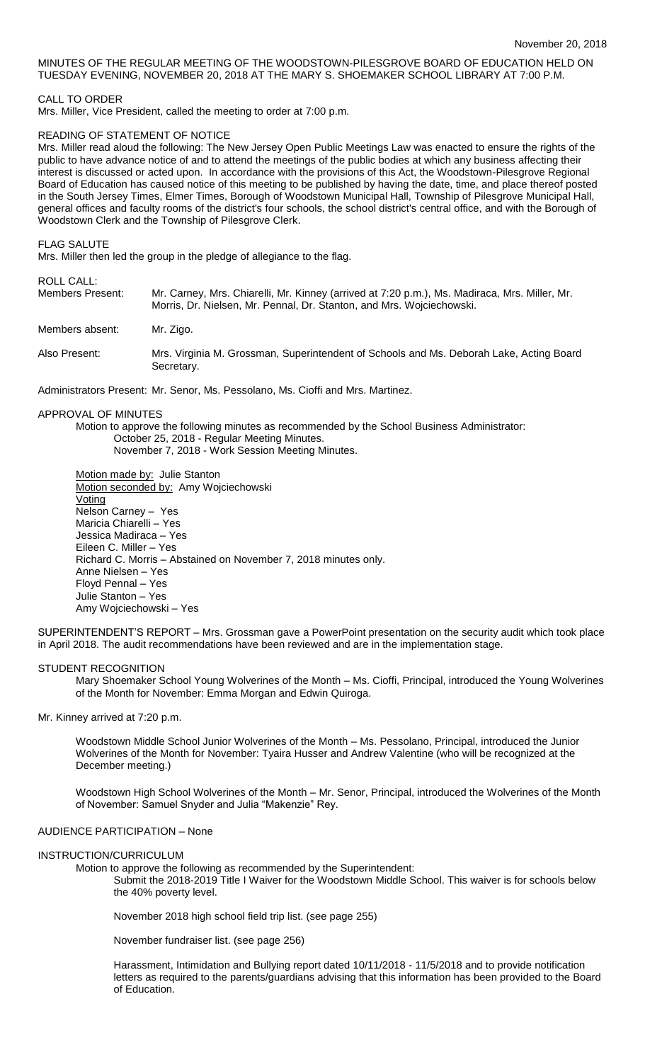# MINUTES OF THE REGULAR MEETING OF THE WOODSTOWN-PILESGROVE BOARD OF EDUCATION HELD ON TUESDAY EVENING, NOVEMBER 20, 2018 AT THE MARY S. SHOEMAKER SCHOOL LIBRARY AT 7:00 P.M.

# CALL TO ORDER

Mrs. Miller, Vice President, called the meeting to order at 7:00 p.m.

# READING OF STATEMENT OF NOTICE

Mrs. Miller read aloud the following: The New Jersey Open Public Meetings Law was enacted to ensure the rights of the public to have advance notice of and to attend the meetings of the public bodies at which any business affecting their interest is discussed or acted upon. In accordance with the provisions of this Act, the Woodstown-Pilesgrove Regional Board of Education has caused notice of this meeting to be published by having the date, time, and place thereof posted in the South Jersey Times, Elmer Times, Borough of Woodstown Municipal Hall, Township of Pilesgrove Municipal Hall, general offices and faculty rooms of the district's four schools, the school district's central office, and with the Borough of Woodstown Clerk and the Township of Pilesgrove Clerk.

FLAG SALUTE

Mrs. Miller then led the group in the pledge of allegiance to the flag.

# ROLL CALL:

| . . 955 975 5.<br>Members Present: | Mr. Carney, Mrs. Chiarelli, Mr. Kinney (arrived at 7:20 p.m.), Ms. Madiraca, Mrs. Miller, Mr.<br>Morris, Dr. Nielsen, Mr. Pennal, Dr. Stanton, and Mrs. Wojciechowski. |
|------------------------------------|------------------------------------------------------------------------------------------------------------------------------------------------------------------------|
| Members absent:                    | Mr. Zigo.                                                                                                                                                              |
| Also Present:                      | Mrs. Virginia M. Grossman, Superintendent of Schools and Ms. Deborah Lake, Acting Board<br>Secretary.                                                                  |

Administrators Present: Mr. Senor, Ms. Pessolano, Ms. Cioffi and Mrs. Martinez.

### APPROVAL OF MINUTES

Motion to approve the following minutes as recommended by the School Business Administrator: October 25, 2018 - Regular Meeting Minutes. November 7, 2018 - Work Session Meeting Minutes.

Motion made by: Julie Stanton Motion seconded by: Amy Wojciechowski Voting Nelson Carney – Yes Maricia Chiarelli – Yes Jessica Madiraca – Yes Eileen C. Miller – Yes Richard C. Morris – Abstained on November 7, 2018 minutes only. Anne Nielsen – Yes Floyd Pennal – Yes Julie Stanton – Yes Amy Wojciechowski – Yes

SUPERINTENDENT'S REPORT – Mrs. Grossman gave a PowerPoint presentation on the security audit which took place in April 2018. The audit recommendations have been reviewed and are in the implementation stage.

### STUDENT RECOGNITION

Mary Shoemaker School Young Wolverines of the Month – Ms. Cioffi, Principal, introduced the Young Wolverines of the Month for November: Emma Morgan and Edwin Quiroga.

Mr. Kinney arrived at 7:20 p.m.

Woodstown Middle School Junior Wolverines of the Month – Ms. Pessolano, Principal, introduced the Junior Wolverines of the Month for November: Tyaira Husser and Andrew Valentine (who will be recognized at the December meeting.)

Woodstown High School Wolverines of the Month – Mr. Senor, Principal, introduced the Wolverines of the Month of November: Samuel Snyder and Julia "Makenzie" Rey.

# AUDIENCE PARTICIPATION – None

### INSTRUCTION/CURRICULUM

Motion to approve the following as recommended by the Superintendent:

Submit the 2018-2019 Title I Waiver for the Woodstown Middle School. This waiver is for schools below the 40% poverty level.

November 2018 high school field trip list. (see page 255)

November fundraiser list. (see page 256)

Harassment, Intimidation and Bullying report dated 10/11/2018 - 11/5/2018 and to provide notification letters as required to the parents/guardians advising that this information has been provided to the Board of Education.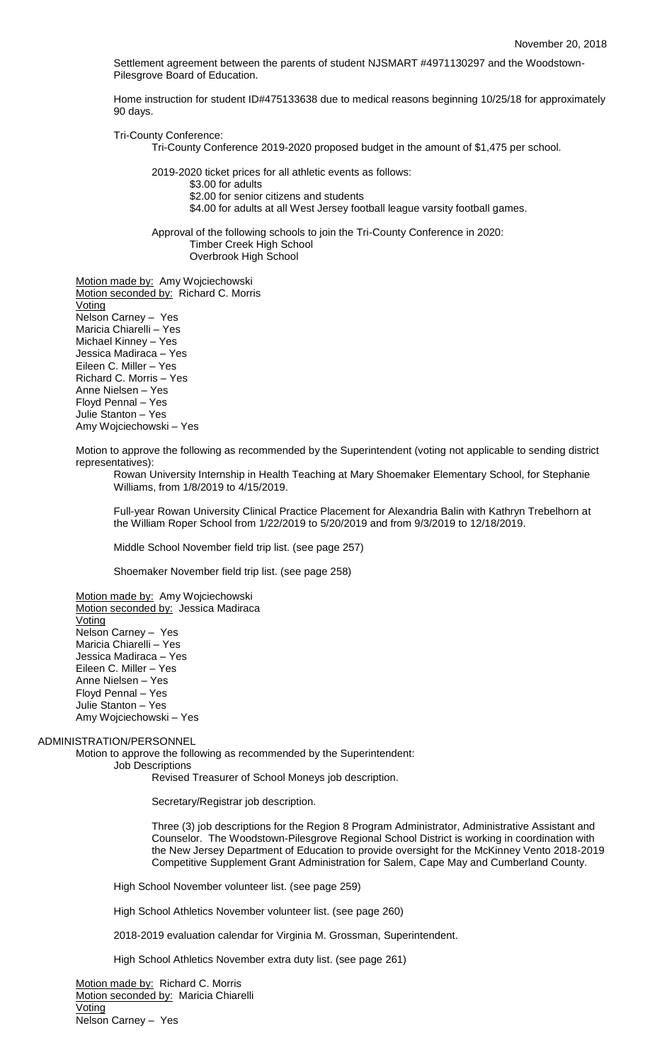Settlement agreement between the parents of student NJSMART #4971130297 and the Woodstown-Pilesgrove Board of Education.

Home instruction for student ID#475133638 due to medical reasons beginning 10/25/18 for approximately 90 days.

Tri-County Conference:

Tri-County Conference 2019-2020 proposed budget in the amount of \$1,475 per school.

2019-2020 ticket prices for all athletic events as follows:

\$3.00 for adults

\$2.00 for senior citizens and students

\$4.00 for adults at all West Jersey football league varsity football games.

Approval of the following schools to join the Tri-County Conference in 2020: Timber Creek High School Overbrook High School

Motion made by: Amy Wojciechowski Motion seconded by: Richard C. Morris Voting Nelson Carney – Yes Maricia Chiarelli – Yes Michael Kinney – Yes Jessica Madiraca – Yes Eileen C. Miller – Yes Richard C. Morris – Yes Anne Nielsen – Yes Floyd Pennal – Yes Julie Stanton – Yes Amy Wojciechowski – Yes

Motion to approve the following as recommended by the Superintendent (voting not applicable to sending district representatives):

Rowan University Internship in Health Teaching at Mary Shoemaker Elementary School, for Stephanie Williams, from 1/8/2019 to 4/15/2019.

Full-year Rowan University Clinical Practice Placement for Alexandria Balin with Kathryn Trebelhorn at the William Roper School from 1/22/2019 to 5/20/2019 and from 9/3/2019 to 12/18/2019.

Middle School November field trip list. (see page 257)

Shoemaker November field trip list. (see page 258)

Motion made by: Amy Wojciechowski Motion seconded by: Jessica Madiraca Voting Nelson Carney – Yes Maricia Chiarelli – Yes Jessica Madiraca – Yes Eileen C. Miller – Yes Anne Nielsen – Yes Floyd Pennal – Yes Julie Stanton – Yes Amy Wojciechowski – Yes

### ADMINISTRATION/PERSONNEL

Motion to approve the following as recommended by the Superintendent:

Job Descriptions

Revised Treasurer of School Moneys job description.

Secretary/Registrar job description.

Three (3) job descriptions for the Region 8 Program Administrator, Administrative Assistant and Counselor. The Woodstown-Pilesgrove Regional School District is working in coordination with the New Jersey Department of Education to provide oversight for the McKinney Vento 2018-2019 Competitive Supplement Grant Administration for Salem, Cape May and Cumberland County.

High School November volunteer list. (see page 259)

High School Athletics November volunteer list. (see page 260)

2018-2019 evaluation calendar for Virginia M. Grossman, Superintendent.

High School Athletics November extra duty list. (see page 261)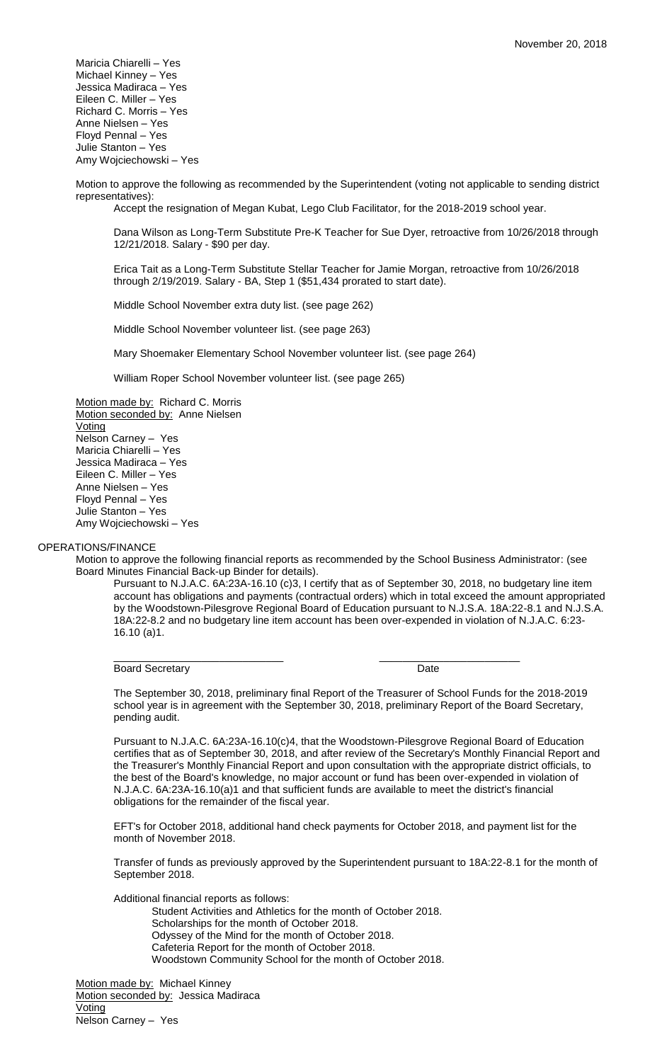Maricia Chiarelli – Yes Michael Kinney – Yes Jessica Madiraca – Yes Eileen C. Miller – Yes Richard C. Morris – Yes Anne Nielsen – Yes Floyd Pennal – Yes Julie Stanton – Yes Amy Wojciechowski – Yes

Motion to approve the following as recommended by the Superintendent (voting not applicable to sending district representatives):

Accept the resignation of Megan Kubat, Lego Club Facilitator, for the 2018-2019 school year.

Dana Wilson as Long-Term Substitute Pre-K Teacher for Sue Dyer, retroactive from 10/26/2018 through 12/21/2018. Salary - \$90 per day.

Erica Tait as a Long-Term Substitute Stellar Teacher for Jamie Morgan, retroactive from 10/26/2018 through 2/19/2019. Salary - BA, Step 1 (\$51,434 prorated to start date).

Middle School November extra duty list. (see page 262)

Middle School November volunteer list. (see page 263)

Mary Shoemaker Elementary School November volunteer list. (see page 264)

William Roper School November volunteer list. (see page 265)

Motion made by: Richard C. Morris Motion seconded by: Anne Nielsen Voting Nelson Carney – Yes Maricia Chiarelli – Yes Jessica Madiraca – Yes Eileen C. Miller – Yes Anne Nielsen – Yes Floyd Pennal – Yes Julie Stanton – Yes Amy Wojciechowski – Yes

### OPERATIONS/FINANCE

Motion to approve the following financial reports as recommended by the School Business Administrator: (see Board Minutes Financial Back-up Binder for details).

Pursuant to N.J.A.C. 6A:23A-16.10 (c)3, I certify that as of September 30, 2018, no budgetary line item account has obligations and payments (contractual orders) which in total exceed the amount appropriated by the Woodstown-Pilesgrove Regional Board of Education pursuant to N.J.S.A. 18A:22-8.1 and N.J.S.A. 18A:22-8.2 and no budgetary line item account has been over-expended in violation of N.J.A.C. 6:23- 16.10 (a)1.

# Board Secretary **Date**

\_\_\_\_\_\_\_\_\_\_\_\_\_\_\_\_\_\_\_\_\_\_\_\_\_\_\_\_\_ \_\_\_\_\_\_\_\_\_\_\_\_\_\_\_\_\_\_\_\_\_\_\_\_

The September 30, 2018, preliminary final Report of the Treasurer of School Funds for the 2018-2019 school year is in agreement with the September 30, 2018, preliminary Report of the Board Secretary, pending audit.

Pursuant to N.J.A.C. 6A:23A-16.10(c)4, that the Woodstown-Pilesgrove Regional Board of Education certifies that as of September 30, 2018, and after review of the Secretary's Monthly Financial Report and the Treasurer's Monthly Financial Report and upon consultation with the appropriate district officials, to the best of the Board's knowledge, no major account or fund has been over-expended in violation of N.J.A.C. 6A:23A-16.10(a)1 and that sufficient funds are available to meet the district's financial obligations for the remainder of the fiscal year.

EFT's for October 2018, additional hand check payments for October 2018, and payment list for the month of November 2018.

Transfer of funds as previously approved by the Superintendent pursuant to 18A:22-8.1 for the month of September 2018.

Additional financial reports as follows:

Student Activities and Athletics for the month of October 2018. Scholarships for the month of October 2018. Odyssey of the Mind for the month of October 2018. Cafeteria Report for the month of October 2018. Woodstown Community School for the month of October 2018.

Motion made by: Michael Kinney Motion seconded by: Jessica Madiraca Voting Nelson Carney – Yes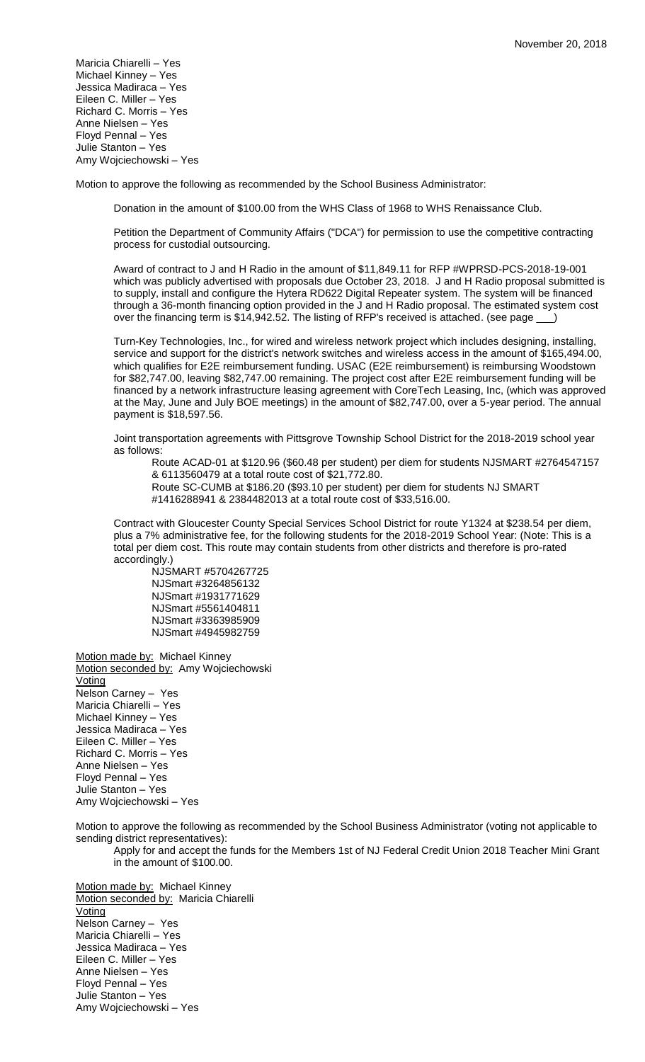Maricia Chiarelli – Yes Michael Kinney – Yes Jessica Madiraca – Yes Eileen C. Miller – Yes Richard C. Morris – Yes Anne Nielsen – Yes Floyd Pennal – Yes Julie Stanton – Yes Amy Wojciechowski – Yes

Motion to approve the following as recommended by the School Business Administrator:

Donation in the amount of \$100.00 from the WHS Class of 1968 to WHS Renaissance Club.

Petition the Department of Community Affairs ("DCA") for permission to use the competitive contracting process for custodial outsourcing.

Award of contract to J and H Radio in the amount of \$11,849.11 for RFP #WPRSD-PCS-2018-19-001 which was publicly advertised with proposals due October 23, 2018. J and H Radio proposal submitted is to supply, install and configure the Hytera RD622 Digital Repeater system. The system will be financed through a 36-month financing option provided in the J and H Radio proposal. The estimated system cost over the financing term is \$14,942.52. The listing of RFP's received is attached. (see page \_\_\_

Turn-Key Technologies, Inc., for wired and wireless network project which includes designing, installing, service and support for the district's network switches and wireless access in the amount of \$165,494.00, which qualifies for E2E reimbursement funding. USAC (E2E reimbursement) is reimbursing Woodstown for \$82,747.00, leaving \$82,747.00 remaining. The project cost after E2E reimbursement funding will be financed by a network infrastructure leasing agreement with CoreTech Leasing, Inc, (which was approved at the May, June and July BOE meetings) in the amount of \$82,747.00, over a 5-year period. The annual payment is \$18,597.56.

Joint transportation agreements with Pittsgrove Township School District for the 2018-2019 school year as follows:

Route ACAD-01 at \$120.96 (\$60.48 per student) per diem for students NJSMART #2764547157 & 6113560479 at a total route cost of \$21,772.80.

Route SC-CUMB at \$186.20 (\$93.10 per student) per diem for students NJ SMART #1416288941 & 2384482013 at a total route cost of \$33,516.00.

Contract with Gloucester County Special Services School District for route Y1324 at \$238.54 per diem, plus a 7% administrative fee, for the following students for the 2018-2019 School Year: (Note: This is a total per diem cost. This route may contain students from other districts and therefore is pro-rated accordingly.)

NJSMART #5704267725 NJSmart #3264856132 NJSmart #1931771629 NJSmart #5561404811 NJSmart #3363985909 NJSmart #4945982759

Motion made by: Michael Kinney Motion seconded by: Amy Wojciechowski **Voting** Nelson Carney – Yes Maricia Chiarelli – Yes Michael Kinney – Yes Jessica Madiraca – Yes Eileen C. Miller – Yes Richard C. Morris – Yes Anne Nielsen – Yes Floyd Pennal – Yes Julie Stanton – Yes Amy Wojciechowski – Yes

Motion to approve the following as recommended by the School Business Administrator (voting not applicable to sending district representatives):

Apply for and accept the funds for the Members 1st of NJ Federal Credit Union 2018 Teacher Mini Grant in the amount of \$100.00.

Motion made by: Michael Kinney Motion seconded by: Maricia Chiarelli Voting Nelson Carney – Yes Maricia Chiarelli – Yes Jessica Madiraca – Yes Eileen C. Miller – Yes Anne Nielsen – Yes Floyd Pennal – Yes Julie Stanton – Yes Amy Wojciechowski – Yes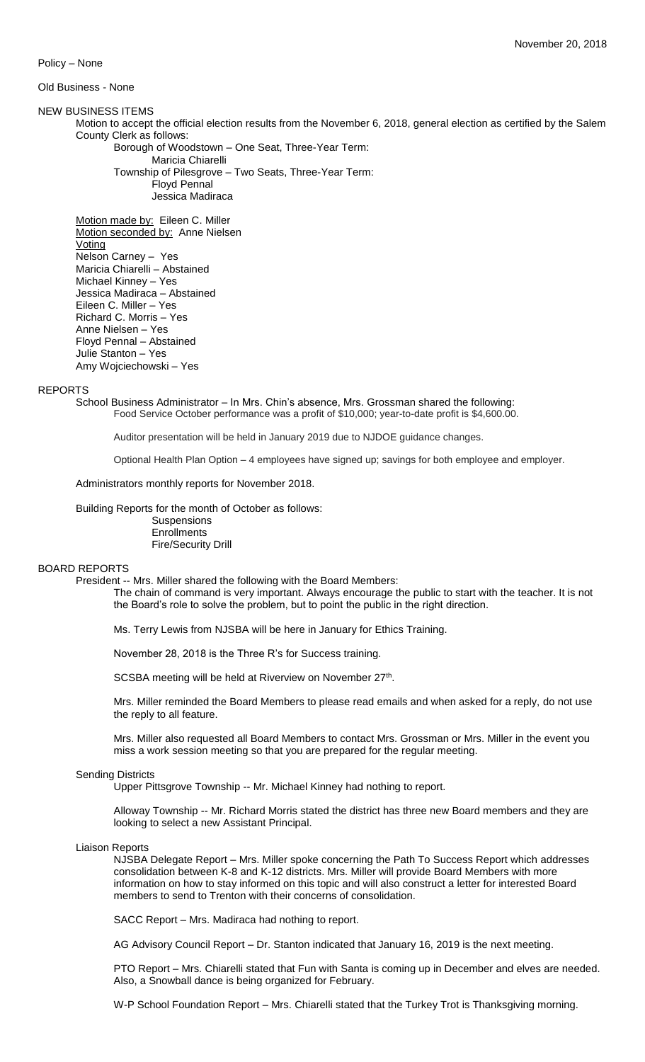Policy – None

### Old Business - None

### NEW BUSINESS ITEMS

Motion to accept the official election results from the November 6, 2018, general election as certified by the Salem County Clerk as follows:

Borough of Woodstown – One Seat, Three-Year Term: Maricia Chiarelli

Township of Pilesgrove – Two Seats, Three-Year Term: Floyd Pennal Jessica Madiraca

Motion made by: Eileen C. Miller Motion seconded by: Anne Nielsen **Voting** Nelson Carney – Yes Maricia Chiarelli – Abstained Michael Kinney – Yes Jessica Madiraca – Abstained Eileen C. Miller – Yes Richard C. Morris – Yes

Anne Nielsen – Yes Floyd Pennal – Abstained Julie Stanton – Yes Amy Wojciechowski – Yes

### REPORTS

School Business Administrator – In Mrs. Chin's absence, Mrs. Grossman shared the following: Food Service October performance was a profit of \$10,000; year-to-date profit is \$4,600.00.

Auditor presentation will be held in January 2019 due to NJDOE guidance changes.

Optional Health Plan Option – 4 employees have signed up; savings for both employee and employer.

Administrators monthly reports for November 2018.

Building Reports for the month of October as follows:

**Suspensions Enrollments** Fire/Security Drill

#### BOARD REPORTS

President -- Mrs. Miller shared the following with the Board Members:

The chain of command is very important. Always encourage the public to start with the teacher. It is not the Board's role to solve the problem, but to point the public in the right direction.

Ms. Terry Lewis from NJSBA will be here in January for Ethics Training.

November 28, 2018 is the Three R's for Success training.

SCSBA meeting will be held at Riverview on November 27<sup>th</sup>.

Mrs. Miller reminded the Board Members to please read emails and when asked for a reply, do not use the reply to all feature.

Mrs. Miller also requested all Board Members to contact Mrs. Grossman or Mrs. Miller in the event you miss a work session meeting so that you are prepared for the regular meeting.

# Sending Districts

Upper Pittsgrove Township -- Mr. Michael Kinney had nothing to report.

Alloway Township -- Mr. Richard Morris stated the district has three new Board members and they are looking to select a new Assistant Principal.

### Liaison Reports

NJSBA Delegate Report – Mrs. Miller spoke concerning the Path To Success Report which addresses consolidation between K-8 and K-12 districts. Mrs. Miller will provide Board Members with more information on how to stay informed on this topic and will also construct a letter for interested Board members to send to Trenton with their concerns of consolidation.

SACC Report – Mrs. Madiraca had nothing to report.

AG Advisory Council Report – Dr. Stanton indicated that January 16, 2019 is the next meeting.

PTO Report – Mrs. Chiarelli stated that Fun with Santa is coming up in December and elves are needed. Also, a Snowball dance is being organized for February.

W-P School Foundation Report – Mrs. Chiarelli stated that the Turkey Trot is Thanksgiving morning.